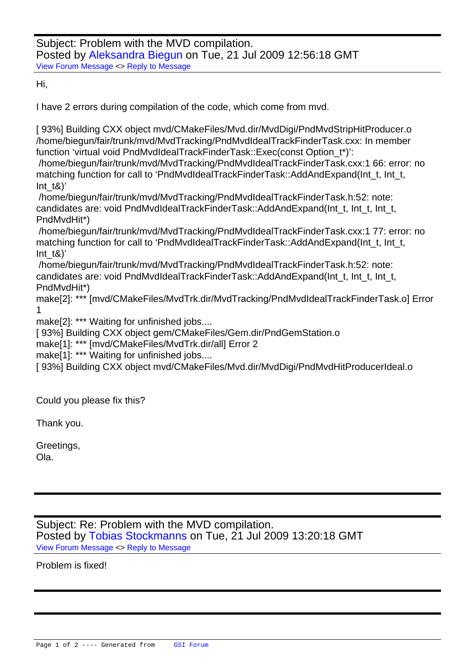Hi,

[I have 2 errors dur](https://forum.gsi.de/index.php?t=rview&th=2501&goto=9031#msg_9031)in[g compilation of](https://forum.gsi.de/index.php?t=post&reply_to=9031) the code, which come from mvd.

[ 93%] Building CXX object mvd/CMakeFiles/Mvd.dir/MvdDigi/PndMvdStripHitProducer.o /home/biegun/fair/trunk/mvd/MvdTracking/PndMvdIdealTrackFinderTask.cxx: In member function 'virtual void PndMvdIdealTrackFinderTask::Exec(const Option\_t\*)': /home/biegun/fair/trunk/mvd/MvdTracking/PndMvdIdealTrackFinderTask.cxx:1 66: error: no matching function for call to 'PndMvdIdealTrackFinderTask::AddAndExpand(Int\_t, Int\_t, Int  $t\&$ )' /home/biegun/fair/trunk/mvd/MvdTracking/PndMvdIdealTrackFinderTask.h:52: note: candidates are: void PndMvdIdealTrackFinderTask::AddAndExpand(Int\_t, Int\_t, Int\_t, PndMvdHit\*) /home/biegun/fair/trunk/mvd/MvdTracking/PndMvdIdealTrackFinderTask.cxx:1 77: error: no matching function for call to 'PndMvdIdealTrackFinderTask::AddAndExpand(Int\_t, Int\_t, Int  $t\&$ )' /home/biegun/fair/trunk/mvd/MvdTracking/PndMvdIdealTrackFinderTask.h:52: note: candidates are: void PndMvdIdealTrackFinderTask::AddAndExpand(Int\_t, Int\_t, Int\_t, PndMvdHit\*) make[2]: \*\*\* [mvd/CMakeFiles/MvdTrk.dir/MvdTracking/PndMvdIdealTrackFinderTask.o] Error 1 make<sup>[2]</sup>: \*\*\* Waiting for unfinished jobs....

[ 93%] Building CXX object gem/CMakeFiles/Gem.dir/PndGemStation.o

make[1]: \*\*\* [mvd/CMakeFiles/MvdTrk.dir/all] Error 2

make[1]: \*\*\* Waiting for unfinished jobs....

[ 93%] Building CXX object mvd/CMakeFiles/Mvd.dir/MvdDigi/PndMvdHitProducerIdeal.o

Could you please fix this?

Thank you.

Greetings,

Ola.

Subject: Re: Problem with the MVD compilation. Posted by Tobias Stockmanns on Tue, 21 Jul 2009 13:20:18 GMT View Forum Message <> Reply to Message

Problem is fi[xed!](https://forum.gsi.de/index.php?t=usrinfo&id=989)